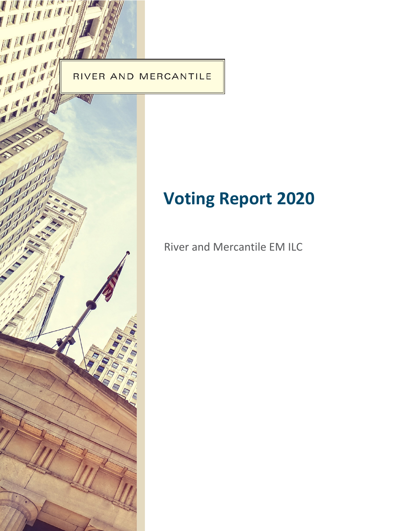

MILIT

THE

# **Voting Report 2020**

River and Mercantile EM ILC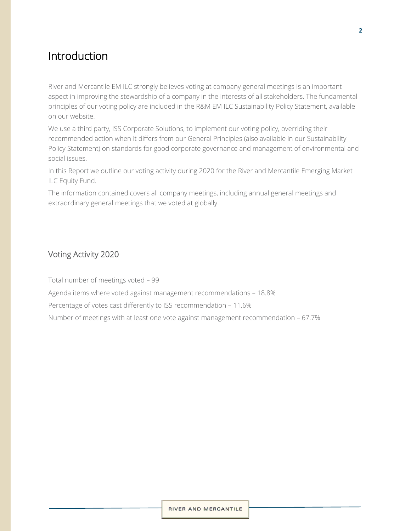## Introduction

River and Mercantile EM ILC strongly believes voting at company general meetings is an important aspect in improving the stewardship of a company in the interests of all stakeholders. The fundamental principles of our voting policy are included in the R&M EM ILC Sustainability Policy Statement, available on our website.

We use a third party, ISS Corporate Solutions, to implement our voting policy, overriding their recommended action when it differs from our General Principles (also available in our Sustainability Policy Statement) on standards for good corporate governance and management of environmental and social issues.

In this Report we outline our voting activity during 2020 for the River and Mercantile Emerging Market ILC Equity Fund.

The information contained covers all company meetings, including annual general meetings and extraordinary general meetings that we voted at globally.

## Voting Activity 2020

Total number of meetings voted – 99

Agenda items where voted against management recommendations – 18.8%

Percentage of votes cast differently to ISS recommendation – 11.6%

Number of meetings with at least one vote against management recommendation – 67.7%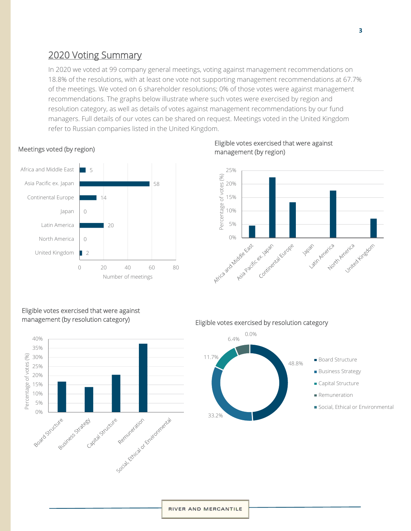## 2020 Voting Summary

In 2020 we voted at 99 company general meetings, voting against management recommendations on 18.8% of the resolutions, with at least one vote not supporting management recommendations at 67.7% of the meetings. We voted on 6 shareholder resolutions; 0% of those votes were against management recommendations. The graphs below illustrate where such votes were exercised by region and resolution category, as well as details of votes against management recommendations by our fund managers. Full details of our votes can be shared on request. Meetings voted in the United Kingdom refer to Russian companies listed in the United Kingdom.

#### Meetings voted (by region)



### Eligible votes exercised that were against management (by region)



## Eligible votes exercised that were against management (by resolution category)



Eligible votes exercised by resolution category